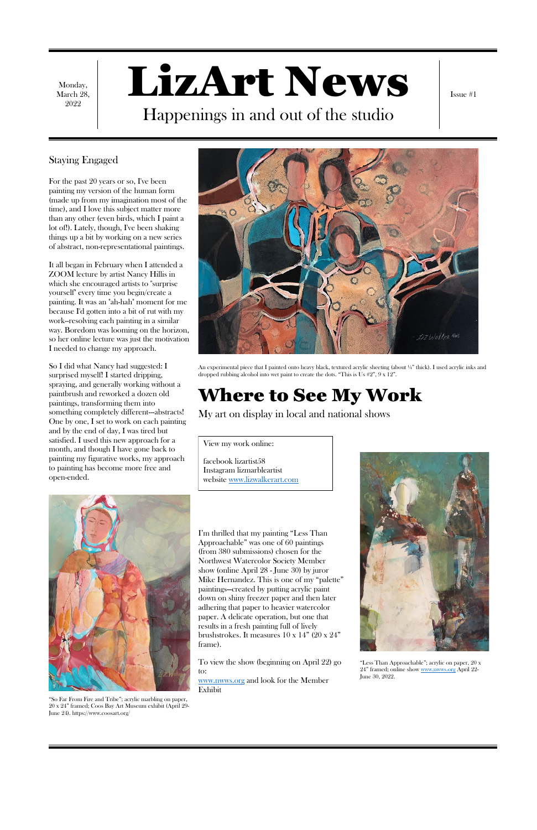Monday, March 28, 2022

# LizArt News Happenings in and out of the studio

Issue #1

#### Staying Engaged

For the past 20 years or so, I've been painting my version of the human form (made up from my imagination most of the time), and I love this subject matter more than any other (even birds, which I paint a lot of!). Lately, though, I've been shaking things up a bit by working on a new series of abstract, non-representational paintings.

It all began in February when I attended a ZOOM lecture by artist Nancy Hillis in which she encouraged artists to "surprise yourself" every time you begin/create a painting. It was an "ah-hah" moment for me because I'd gotten into a bit of rut with my work--resolving each painting in a similar way. Boredom was looming on the horizon, so her online lecture was just the motivation I needed to change my approach.

So I did what Nancy had suggested: I surprised myself! I started dripping, spraying, and generally working without a paintbrush and reworked a dozen old paintings, transforming them into something completely different---abstracts! One by one, I set to work on each painting and by the end of day, I was tired but satisfied. I used this new approach for a month, and though I have gone back to painting my figurative works, my approach to painting has become more free and open-ended.





An experimental piece that I painted onto heavy black, textured acrylic sheeting (about ¼" thick). I used acrylic inks and dropped rubbing alcohol into wet paint to create the dots. "This is Us #2", 9 x 12".

# Where to See My Work

My art on display in local and national shows

I'm thrilled that my painting "Less Than Approachable" was one of 60 paintings (from 380 submissions) chosen for the Northwest Watercolor Society Member show (online April 28 - June 30) by juror Mike Hernandez. This is one of my "palette" paintings—created by putting acrylic paint down on shiny freezer paper and then later adhering that paper to heavier watercolor paper. A delicate operation, but one that results in a fresh painting full of lively brushstrokes. It measures 10 x 14" (20 x 24" frame).



To view the show (beginning on April 22) go to: [www.nwws.org](http://www.nwws.org/) and look for the Member Exhibit

"So Far From Fire and Tribe"; acrylic marbling on paper, 20 x 24" framed; Coos Bay Art Museum exhibit (April 29- June 24). https://www.coosart.org/

"Less Than Approachable"; acrylic on paper, 20 x 24" framed; online sho[w www.nwws.org](http://www.nwws.org/) April 22- June 30, 2022.

View my work online:

facebook lizartist58 Instagram lizmarbleartist website [www.lizwalkerart.com](http://www.lizwalkerart.com/)